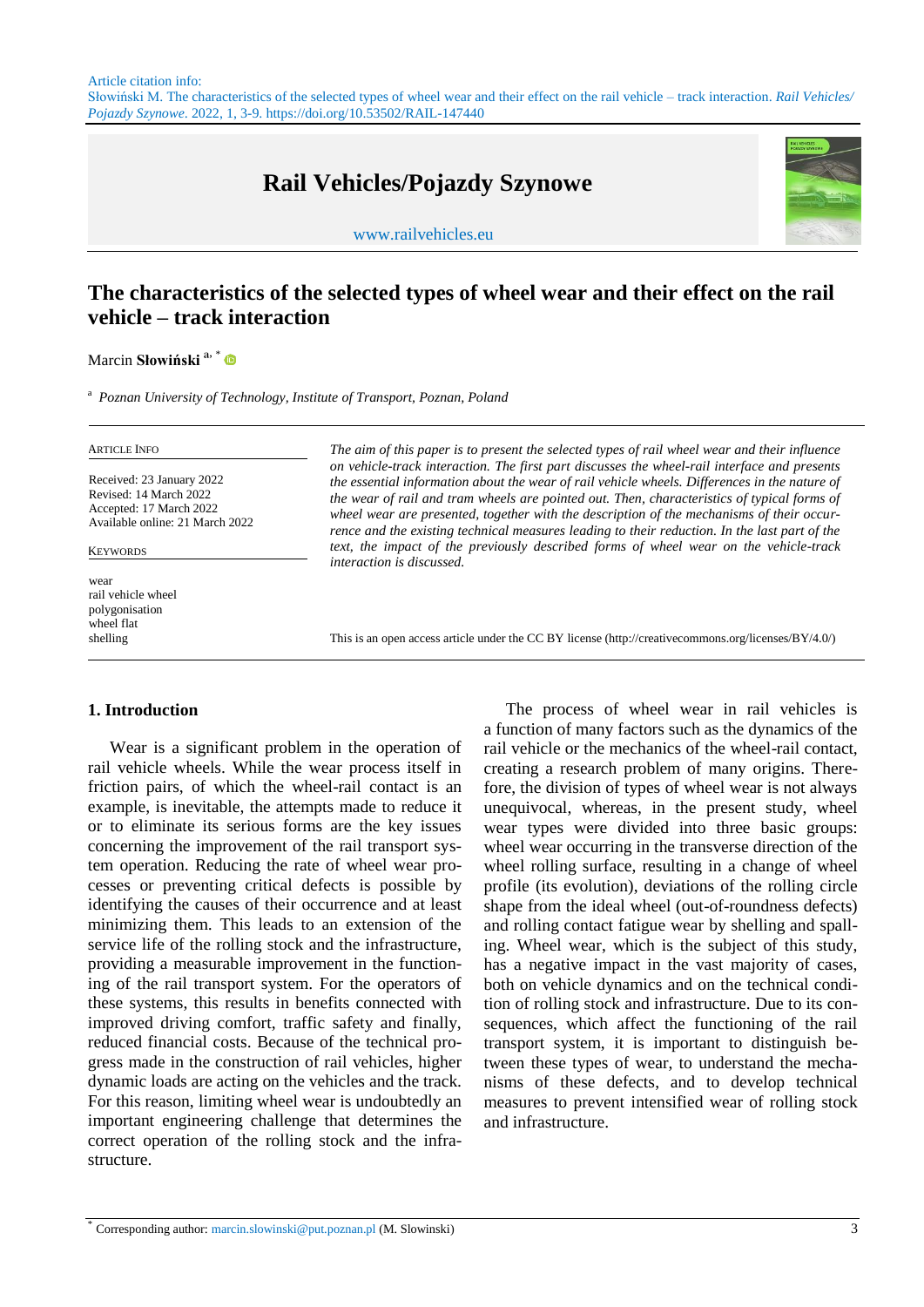# **Rail Vehicles/Pojazdy Szynowe**

www.railvehicles.eu



## **The characteristics of the selected types of wheel wear and their effect on the rail vehicle – track interaction**

Marcin **Słowiński** ª , \*

<sup>a</sup> *Poznan University of Technology, Institute of Transport, Poznan, Poland*

Received: 23 January 2022 Revised: 14 March 2022 Accepted: 17 March 2022 Available online: 21 March 2022

#### KEYWORDS

wear rail vehicle wheel polygonisation wheel flat

ARTICLE INFO *The aim of this paper is to present the selected types of rail wheel wear and their influence on vehicle-track interaction. The first part discusses the wheel-rail interface and presents the essential information about the wear of rail vehicle wheels. Differences in the nature of the wear of rail and tram wheels are pointed out. Then, characteristics of typical forms of wheel wear are presented, together with the description of the mechanisms of their occurrence and the existing technical measures leading to their reduction. In the last part of the text, the impact of the previously described forms of wheel wear on the vehicle-track interaction is discussed.* 

shelling This is an open access article under the CC BY license (http://creativecommons.org/licenses/BY/4.0/)

#### **1. Introduction**

Wear is a significant problem in the operation of rail vehicle wheels. While the wear process itself in friction pairs, of which the wheel-rail contact is an example, is inevitable, the attempts made to reduce it or to eliminate its serious forms are the key issues concerning the improvement of the rail transport system operation. Reducing the rate of wheel wear processes or preventing critical defects is possible by identifying the causes of their occurrence and at least minimizing them. This leads to an extension of the service life of the rolling stock and the infrastructure, providing a measurable improvement in the functioning of the rail transport system. For the operators of these systems, this results in benefits connected with improved driving comfort, traffic safety and finally, reduced financial costs. Because of the technical progress made in the construction of rail vehicles, higher dynamic loads are acting on the vehicles and the track. For this reason, limiting wheel wear is undoubtedly an important engineering challenge that determines the correct operation of the rolling stock and the infrastructure.

The process of wheel wear in rail vehicles is a function of many factors such as the dynamics of the rail vehicle or the mechanics of the wheel-rail contact, creating a research problem of many origins. Therefore, the division of types of wheel wear is not always unequivocal, whereas, in the present study, wheel wear types were divided into three basic groups: wheel wear occurring in the transverse direction of the wheel rolling surface, resulting in a change of wheel profile (its evolution), deviations of the rolling circle shape from the ideal wheel (out-of-roundness defects) and rolling contact fatigue wear by shelling and spalling. Wheel wear, which is the subject of this study, has a negative impact in the vast majority of cases, both on vehicle dynamics and on the technical condition of rolling stock and infrastructure. Due to its consequences, which affect the functioning of the rail transport system, it is important to distinguish between these types of wear, to understand the mechanisms of these defects, and to develop technical measures to prevent intensified wear of rolling stock and infrastructure.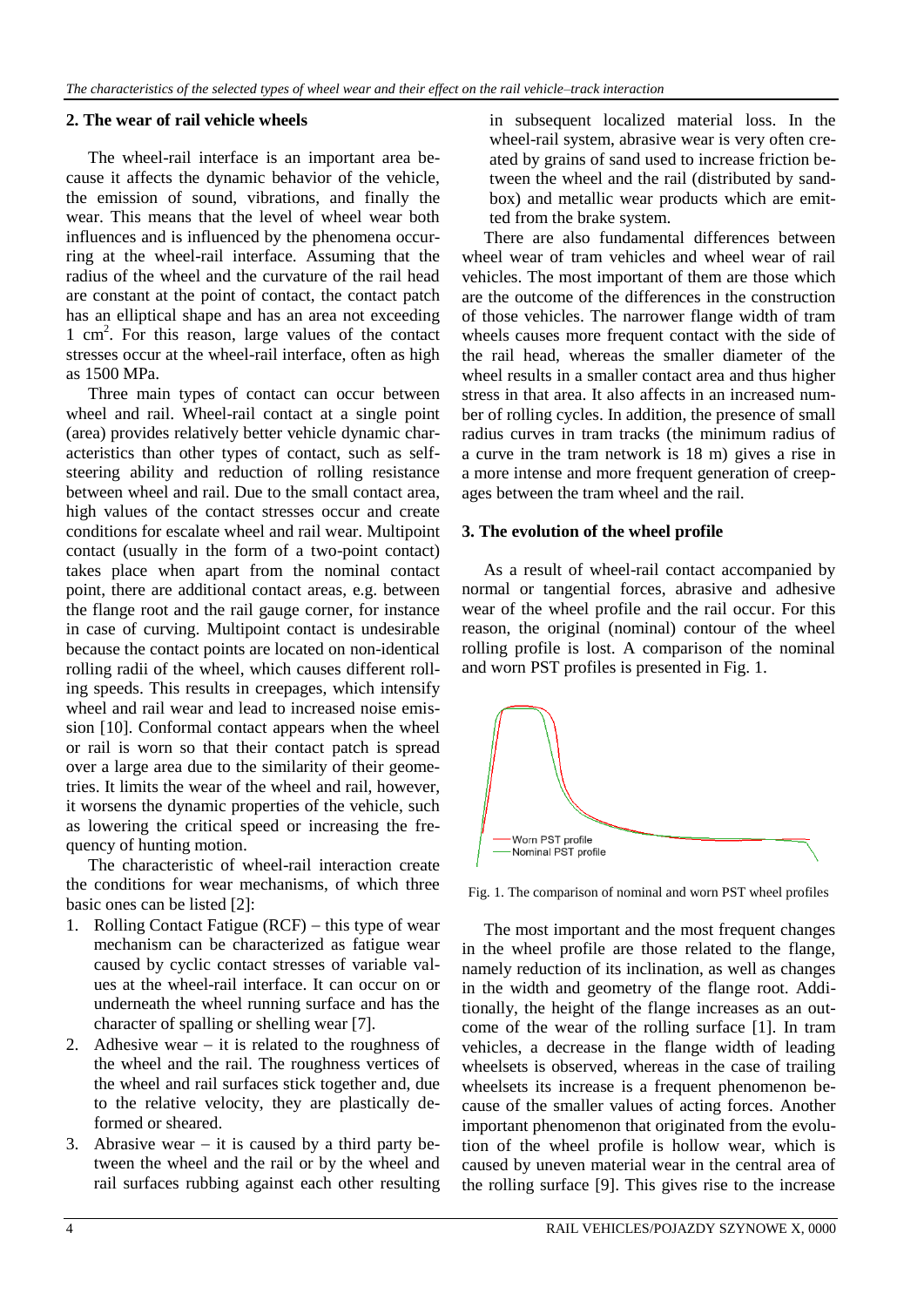#### **2. The wear of rail vehicle wheels**

The wheel-rail interface is an important area because it affects the dynamic behavior of the vehicle, the emission of sound, vibrations, and finally the wear. This means that the level of wheel wear both influences and is influenced by the phenomena occurring at the wheel-rail interface. Assuming that the radius of the wheel and the curvature of the rail head are constant at the point of contact, the contact patch has an elliptical shape and has an area not exceeding 1 cm<sup>2</sup> . For this reason, large values of the contact stresses occur at the wheel-rail interface, often as high as 1500 MPa.

Three main types of contact can occur between wheel and rail. Wheel-rail contact at a single point (area) provides relatively better vehicle dynamic characteristics than other types of contact, such as selfsteering ability and reduction of rolling resistance between wheel and rail. Due to the small contact area, high values of the contact stresses occur and create conditions for escalate wheel and rail wear. Multipoint contact (usually in the form of a two-point contact) takes place when apart from the nominal contact point, there are additional contact areas, e.g. between the flange root and the rail gauge corner, for instance in case of curving. Multipoint contact is undesirable because the contact points are located on non-identical rolling radii of the wheel, which causes different rolling speeds. This results in creepages, which intensify wheel and rail wear and lead to increased noise emission [10]. Conformal contact appears when the wheel or rail is worn so that their contact patch is spread over a large area due to the similarity of their geometries. It limits the wear of the wheel and rail, however, it worsens the dynamic properties of the vehicle, such as lowering the critical speed or increasing the frequency of hunting motion.

The characteristic of wheel-rail interaction create the conditions for wear mechanisms, of which three basic ones can be listed [2]:

- 1. Rolling Contact Fatigue  $(RCF)$  this type of wear mechanism can be characterized as fatigue wear caused by cyclic contact stresses of variable values at the wheel-rail interface. It can occur on or underneath the wheel running surface and has the character of spalling or shelling wear [7].
- 2. Adhesive wear  $-$  it is related to the roughness of the wheel and the rail. The roughness vertices of the wheel and rail surfaces stick together and, due to the relative velocity, they are plastically deformed or sheared.
- 3. Abrasive wear  $-$  it is caused by a third party between the wheel and the rail or by the wheel and rail surfaces rubbing against each other resulting

in subsequent localized material loss. In the wheel-rail system, abrasive wear is very often created by grains of sand used to increase friction between the wheel and the rail (distributed by sandbox) and metallic wear products which are emitted from the brake system.

There are also fundamental differences between wheel wear of tram vehicles and wheel wear of rail vehicles. The most important of them are those which are the outcome of the differences in the construction of those vehicles. The narrower flange width of tram wheels causes more frequent contact with the side of the rail head, whereas the smaller diameter of the wheel results in a smaller contact area and thus higher stress in that area. It also affects in an increased number of rolling cycles. In addition, the presence of small radius curves in tram tracks (the minimum radius of a curve in the tram network is 18 m) gives a rise in a more intense and more frequent generation of creepages between the tram wheel and the rail.

#### **3. The evolution of the wheel profile**

As a result of wheel-rail contact accompanied by normal or tangential forces, abrasive and adhesive wear of the wheel profile and the rail occur. For this reason, the original (nominal) contour of the wheel rolling profile is lost. A comparison of the nominal and worn PST profiles is presented in Fig. 1.



Fig. 1. The comparison of nominal and worn PST wheel profiles

The most important and the most frequent changes in the wheel profile are those related to the flange, namely reduction of its inclination, as well as changes in the width and geometry of the flange root. Additionally, the height of the flange increases as an outcome of the wear of the rolling surface [1]. In tram vehicles, a decrease in the flange width of leading wheelsets is observed, whereas in the case of trailing wheelsets its increase is a frequent phenomenon because of the smaller values of acting forces. Another important phenomenon that originated from the evolution of the wheel profile is hollow wear, which is caused by uneven material wear in the central area of the rolling surface [9]. This gives rise to the increase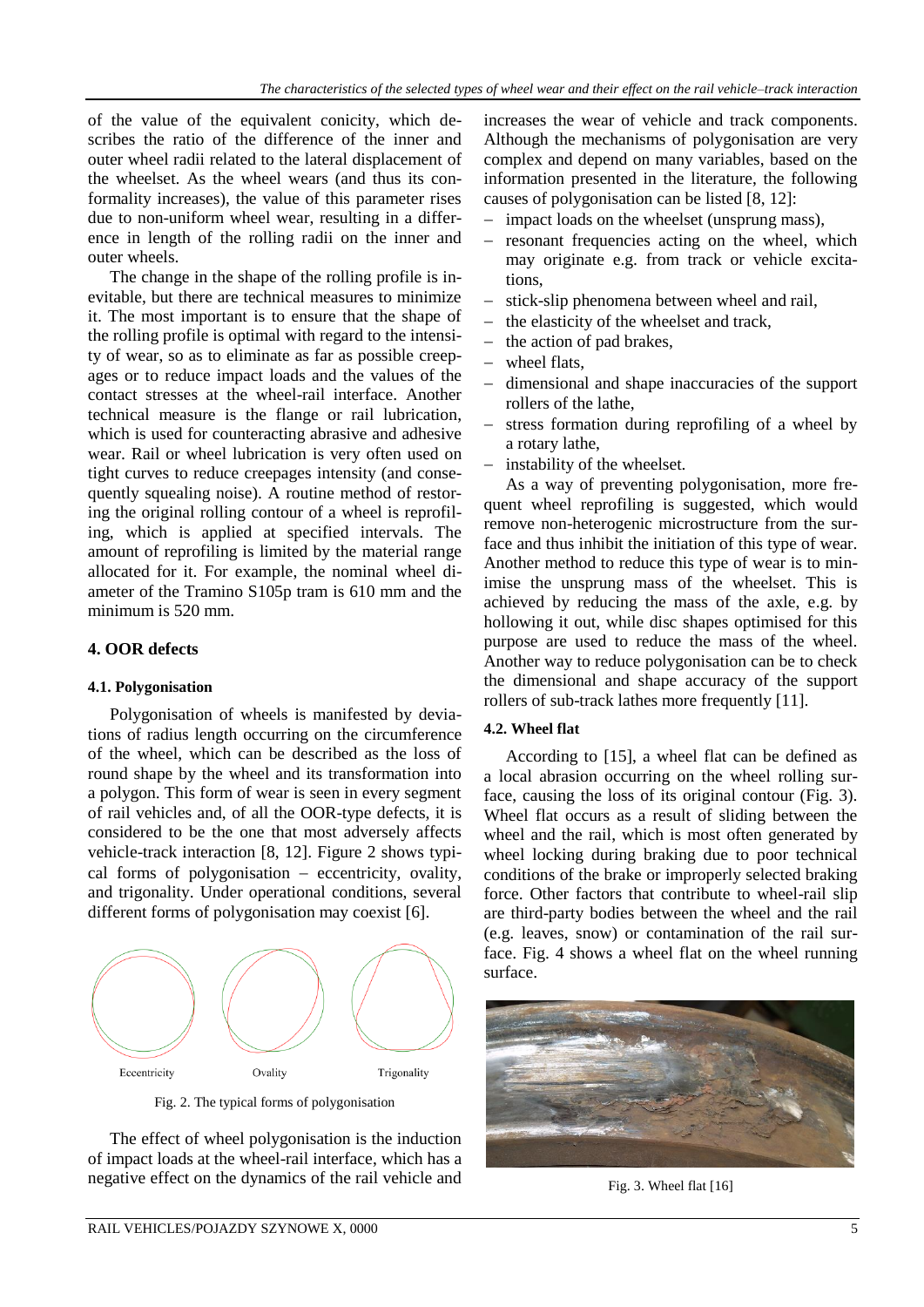of the value of the equivalent conicity, which describes the ratio of the difference of the inner and outer wheel radii related to the lateral displacement of the wheelset. As the wheel wears (and thus its conformality increases), the value of this parameter rises due to non-uniform wheel wear, resulting in a difference in length of the rolling radii on the inner and outer wheels.

The change in the shape of the rolling profile is inevitable, but there are technical measures to minimize it. The most important is to ensure that the shape of the rolling profile is optimal with regard to the intensity of wear, so as to eliminate as far as possible creepages or to reduce impact loads and the values of the contact stresses at the wheel-rail interface. Another technical measure is the flange or rail lubrication, which is used for counteracting abrasive and adhesive wear. Rail or wheel lubrication is very often used on tight curves to reduce creepages intensity (and consequently squealing noise). A routine method of restoring the original rolling contour of a wheel is reprofiling, which is applied at specified intervals. The amount of reprofiling is limited by the material range allocated for it. For example, the nominal wheel diameter of the Tramino S105p tram is 610 mm and the minimum is 520 mm.

#### **4. OOR defects**

#### **4.1. Polygonisation**

Polygonisation of wheels is manifested by deviations of radius length occurring on the circumference of the wheel, which can be described as the loss of round shape by the wheel and its transformation into a polygon. This form of wear is seen in every segment of rail vehicles and, of all the OOR-type defects, it is considered to be the one that most adversely affects vehicle-track interaction [8, 12]. Figure 2 shows typical forms of polygonisation  $-$  eccentricity, ovality, and trigonality. Under operational conditions, several different forms of polygonisation may coexist [6].



Fig. 2. The typical forms of polygonisation

The effect of wheel polygonisation is the induction of impact loads at the wheel-rail interface, which has a negative effect on the dynamics of the rail vehicle and

increases the wear of vehicle and track components. Although the mechanisms of polygonisation are very complex and depend on many variables, based on the information presented in the literature, the following causes of polygonisation can be listed [8, 12]:

- impact loads on the wheelset (unsprung mass),
- resonant frequencies acting on the wheel, which may originate e.g. from track or vehicle excitations,
- stick-slip phenomena between wheel and rail,
- $-$  the elasticity of the wheelset and track,
- $-$  the action of pad brakes,
- wheel flats,
- dimensional and shape inaccuracies of the support rollers of the lathe,
- stress formation during reprofiling of a wheel by a rotary lathe,
- instability of the wheelset.

As a way of preventing polygonisation, more frequent wheel reprofiling is suggested, which would remove non-heterogenic microstructure from the surface and thus inhibit the initiation of this type of wear. Another method to reduce this type of wear is to minimise the unsprung mass of the wheelset. This is achieved by reducing the mass of the axle, e.g. by hollowing it out, while disc shapes optimised for this purpose are used to reduce the mass of the wheel. Another way to reduce polygonisation can be to check the dimensional and shape accuracy of the support rollers of sub-track lathes more frequently [11].

#### **4.2. Wheel flat**

According to [15], a wheel flat can be defined as a local abrasion occurring on the wheel rolling surface, causing the loss of its original contour (Fig. 3). Wheel flat occurs as a result of sliding between the wheel and the rail, which is most often generated by wheel locking during braking due to poor technical conditions of the brake or improperly selected braking force. Other factors that contribute to wheel-rail slip are third-party bodies between the wheel and the rail (e.g. leaves, snow) or contamination of the rail surface. Fig. 4 shows a wheel flat on the wheel running surface.



Fig. 3. Wheel flat [16]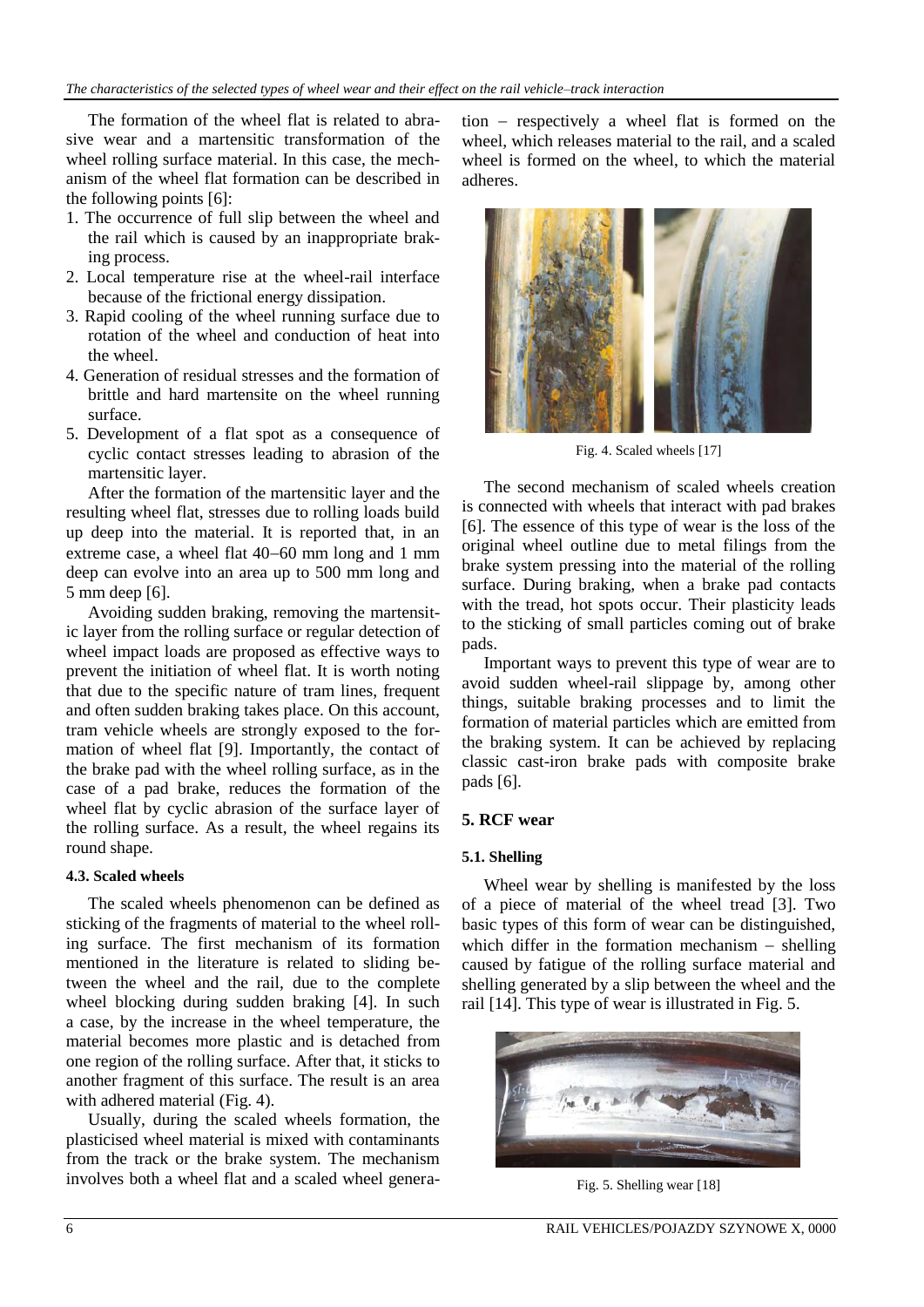The formation of the wheel flat is related to abrasive wear and a martensitic transformation of the wheel rolling surface material. In this case, the mechanism of the wheel flat formation can be described in the following points [6]:

- 1. The occurrence of full slip between the wheel and the rail which is caused by an inappropriate braking process.
- 2. Local temperature rise at the wheel-rail interface because of the frictional energy dissipation.
- 3. Rapid cooling of the wheel running surface due to rotation of the wheel and conduction of heat into the wheel.
- 4. Generation of residual stresses and the formation of brittle and hard martensite on the wheel running surface.
- 5. Development of a flat spot as a consequence of cyclic contact stresses leading to abrasion of the martensitic layer.

After the formation of the martensitic layer and the resulting wheel flat, stresses due to rolling loads build up deep into the material. It is reported that, in an extreme case, a wheel flat  $40-60$  mm long and 1 mm deep can evolve into an area up to 500 mm long and 5 mm deep [6].

Avoiding sudden braking, removing the martensitic layer from the rolling surface or regular detection of wheel impact loads are proposed as effective ways to prevent the initiation of wheel flat. It is worth noting that due to the specific nature of tram lines, frequent and often sudden braking takes place. On this account, tram vehicle wheels are strongly exposed to the formation of wheel flat [9]. Importantly, the contact of the brake pad with the wheel rolling surface, as in the case of a pad brake, reduces the formation of the wheel flat by cyclic abrasion of the surface layer of the rolling surface. As a result, the wheel regains its round shape.

#### **4.3. Scaled wheels**

The scaled wheels phenomenon can be defined as sticking of the fragments of material to the wheel rolling surface. The first mechanism of its formation mentioned in the literature is related to sliding between the wheel and the rail, due to the complete wheel blocking during sudden braking [4]. In such a case, by the increase in the wheel temperature, the material becomes more plastic and is detached from one region of the rolling surface. After that, it sticks to another fragment of this surface. The result is an area with adhered material (Fig. 4).

Usually, during the scaled wheels formation, the plasticised wheel material is mixed with contaminants from the track or the brake system. The mechanism involves both a wheel flat and a scaled wheel genera $tion$  – respectively a wheel flat is formed on the wheel, which releases material to the rail, and a scaled wheel is formed on the wheel, to which the material adheres.



Fig. 4. Scaled wheels [17]

The second mechanism of scaled wheels creation is connected with wheels that interact with pad brakes [6]. The essence of this type of wear is the loss of the original wheel outline due to metal filings from the brake system pressing into the material of the rolling surface. During braking, when a brake pad contacts with the tread, hot spots occur. Their plasticity leads to the sticking of small particles coming out of brake pads.

Important ways to prevent this type of wear are to avoid sudden wheel-rail slippage by, among other things, suitable braking processes and to limit the formation of material particles which are emitted from the braking system. It can be achieved by replacing classic cast-iron brake pads with composite brake pads [6].

### **5. RCF wear**

### **5.1. Shelling**

Wheel wear by shelling is manifested by the loss of a piece of material of the wheel tread [3]. Two basic types of this form of wear can be distinguished, which differ in the formation mechanism  $-$  shelling caused by fatigue of the rolling surface material and shelling generated by a slip between the wheel and the rail [14]. This type of wear is illustrated in Fig. 5.



Fig. 5. Shelling wear [18]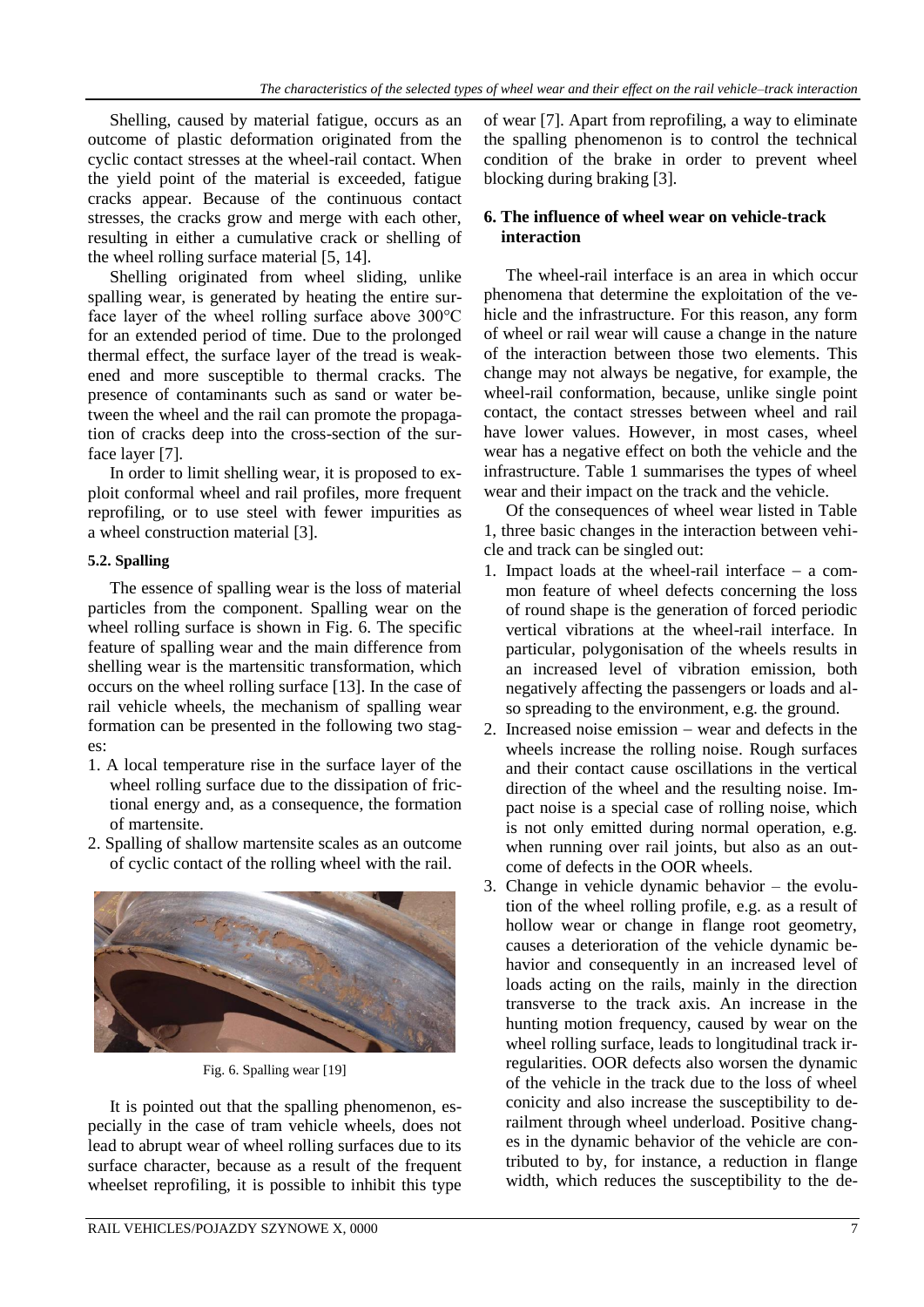Shelling, caused by material fatigue, occurs as an outcome of plastic deformation originated from the cyclic contact stresses at the wheel-rail contact. When the yield point of the material is exceeded, fatigue cracks appear. Because of the continuous contact stresses, the cracks grow and merge with each other, resulting in either a cumulative crack or shelling of the wheel rolling surface material [5, 14].

Shelling originated from wheel sliding, unlike spalling wear, is generated by heating the entire surface layer of the wheel rolling surface above 300°C for an extended period of time. Due to the prolonged thermal effect, the surface layer of the tread is weakened and more susceptible to thermal cracks. The presence of contaminants such as sand or water between the wheel and the rail can promote the propagation of cracks deep into the cross-section of the surface layer [7].

In order to limit shelling wear, it is proposed to exploit conformal wheel and rail profiles, more frequent reprofiling, or to use steel with fewer impurities as a wheel construction material [3].

## **5.2. Spalling**

The essence of spalling wear is the loss of material particles from the component. Spalling wear on the wheel rolling surface is shown in Fig. 6. The specific feature of spalling wear and the main difference from shelling wear is the martensitic transformation, which occurs on the wheel rolling surface [13]. In the case of rail vehicle wheels, the mechanism of spalling wear formation can be presented in the following two stages:

- 1. A local temperature rise in the surface layer of the wheel rolling surface due to the dissipation of frictional energy and, as a consequence, the formation of martensite.
- 2. Spalling of shallow martensite scales as an outcome of cyclic contact of the rolling wheel with the rail.



Fig. 6. Spalling wear [19]

It is pointed out that the spalling phenomenon, especially in the case of tram vehicle wheels, does not lead to abrupt wear of wheel rolling surfaces due to its surface character, because as a result of the frequent wheelset reprofiling, it is possible to inhibit this type of wear [7]. Apart from reprofiling, a way to eliminate the spalling phenomenon is to control the technical condition of the brake in order to prevent wheel blocking during braking [3].

#### **6. The influence of wheel wear on vehicle-track interaction**

The wheel-rail interface is an area in which occur phenomena that determine the exploitation of the vehicle and the infrastructure. For this reason, any form of wheel or rail wear will cause a change in the nature of the interaction between those two elements. This change may not always be negative, for example, the wheel-rail conformation, because, unlike single point contact, the contact stresses between wheel and rail have lower values. However, in most cases, wheel wear has a negative effect on both the vehicle and the infrastructure. Table 1 summarises the types of wheel wear and their impact on the track and the vehicle.

Of the consequences of wheel wear listed in Table 1, three basic changes in the interaction between vehicle and track can be singled out:

- 1. Impact loads at the wheel-rail interface  $-$  a common feature of wheel defects concerning the loss of round shape is the generation of forced periodic vertical vibrations at the wheel-rail interface. In particular, polygonisation of the wheels results in an increased level of vibration emission, both negatively affecting the passengers or loads and also spreading to the environment, e.g. the ground.
- 2. Increased noise emission  $-$  wear and defects in the wheels increase the rolling noise. Rough surfaces and their contact cause oscillations in the vertical direction of the wheel and the resulting noise. Impact noise is a special case of rolling noise, which is not only emitted during normal operation, e.g. when running over rail joints, but also as an outcome of defects in the OOR wheels.
- 3. Change in vehicle dynamic behavior the evolution of the wheel rolling profile, e.g. as a result of hollow wear or change in flange root geometry, causes a deterioration of the vehicle dynamic behavior and consequently in an increased level of loads acting on the rails, mainly in the direction transverse to the track axis. An increase in the hunting motion frequency, caused by wear on the wheel rolling surface, leads to longitudinal track irregularities. OOR defects also worsen the dynamic of the vehicle in the track due to the loss of wheel conicity and also increase the susceptibility to derailment through wheel underload. Positive changes in the dynamic behavior of the vehicle are contributed to by, for instance, a reduction in flange width, which reduces the susceptibility to the de-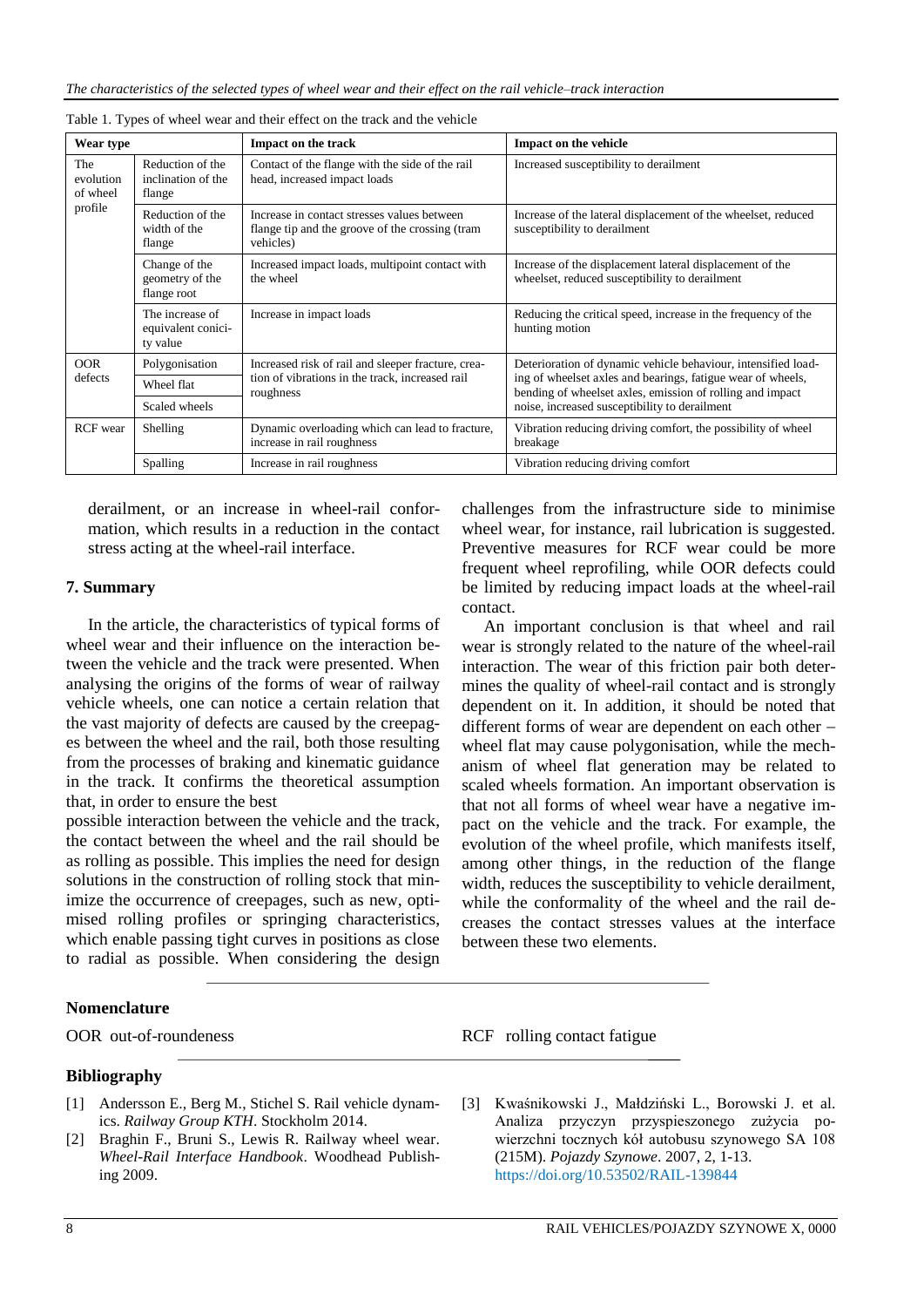| Wear type                               |                                                   | Impact on the track                                                                                         | Impact on the vehicle                                                                                                                                                     |  |  |  |
|-----------------------------------------|---------------------------------------------------|-------------------------------------------------------------------------------------------------------------|---------------------------------------------------------------------------------------------------------------------------------------------------------------------------|--|--|--|
| The<br>evolution<br>of wheel<br>profile | Reduction of the<br>inclination of the<br>flange  | Contact of the flange with the side of the rail<br>head, increased impact loads                             | Increased susceptibility to derailment                                                                                                                                    |  |  |  |
|                                         | Reduction of the<br>width of the<br>flange        | Increase in contact stresses values between<br>flange tip and the groove of the crossing (tram<br>vehicles) | Increase of the lateral displacement of the wheelset, reduced<br>susceptibility to derailment                                                                             |  |  |  |
|                                         | Change of the<br>geometry of the<br>flange root   | Increased impact loads, multipoint contact with<br>the wheel                                                | Increase of the displacement lateral displacement of the<br>wheelset, reduced susceptibility to derailment                                                                |  |  |  |
|                                         | The increase of<br>equivalent conici-<br>ty value | Increase in impact loads                                                                                    | Reducing the critical speed, increase in the frequency of the<br>hunting motion                                                                                           |  |  |  |
| <b>OOR</b><br>defects                   | Polygonisation                                    | Increased risk of rail and sleeper fracture, crea-                                                          | Deterioration of dynamic vehicle behaviour, intensified load-                                                                                                             |  |  |  |
|                                         | Wheel flat                                        | tion of vibrations in the track, increased rail<br>roughness                                                | ing of wheelset axles and bearings, fatigue wear of wheels,<br>bending of wheelset axles, emission of rolling and impact<br>noise, increased susceptibility to derailment |  |  |  |
|                                         | Scaled wheels                                     |                                                                                                             |                                                                                                                                                                           |  |  |  |
| <b>RCF</b> wear                         | Shelling                                          | Dynamic overloading which can lead to fracture,<br>increase in rail roughness                               | Vibration reducing driving comfort, the possibility of wheel<br>breakage                                                                                                  |  |  |  |
|                                         | Spalling                                          | Increase in rail roughness                                                                                  | Vibration reducing driving comfort                                                                                                                                        |  |  |  |

|  |  | Table 1. Types of wheel wear and their effect on the track and the vehicle |  |  |  |  |
|--|--|----------------------------------------------------------------------------|--|--|--|--|
|  |  |                                                                            |  |  |  |  |

derailment, or an increase in wheel-rail conformation, which results in a reduction in the contact stress acting at the wheel-rail interface.

#### **7. Summary**

In the article, the characteristics of typical forms of wheel wear and their influence on the interaction between the vehicle and the track were presented. When analysing the origins of the forms of wear of railway vehicle wheels, one can notice a certain relation that the vast majority of defects are caused by the creepages between the wheel and the rail, both those resulting from the processes of braking and kinematic guidance in the track. It confirms the theoretical assumption that, in order to ensure the best

possible interaction between the vehicle and the track, the contact between the wheel and the rail should be as rolling as possible. This implies the need for design solutions in the construction of rolling stock that minimize the occurrence of creepages, such as new, optimised rolling profiles or springing characteristics, which enable passing tight curves in positions as close to radial as possible. When considering the design challenges from the infrastructure side to minimise wheel wear, for instance, rail lubrication is suggested. Preventive measures for RCF wear could be more frequent wheel reprofiling, while OOR defects could be limited by reducing impact loads at the wheel-rail contact.

An important conclusion is that wheel and rail wear is strongly related to the nature of the wheel-rail interaction. The wear of this friction pair both determines the quality of wheel-rail contact and is strongly dependent on it. In addition, it should be noted that different forms of wear are dependent on each other wheel flat may cause polygonisation, while the mechanism of wheel flat generation may be related to scaled wheels formation. An important observation is that not all forms of wheel wear have a negative impact on the vehicle and the track. For example, the evolution of the wheel profile, which manifests itself, among other things, in the reduction of the flange width, reduces the susceptibility to vehicle derailment, while the conformality of the wheel and the rail decreases the contact stresses values at the interface between these two elements.

#### **Nomenclature**

OOR out-of-roundeness RCF rolling contact fatigue

#### **Bibliography**

- [1] Andersson E., Berg M., Stichel S. Rail vehicle dynamics. *Railway Group KTH*. Stockholm 2014.
- [2] Braghin F., Bruni S., Lewis R. Railway wheel wear. *Wheel-Rail Interface Handbook*. Woodhead Publishing 2009.
- [3] Kwaśnikowski J., Małdziński L., Borowski J. et al. Analiza przyczyn przyspieszonego zużycia powierzchni tocznych kół autobusu szynowego SA 108 (215M). *Pojazdy Szynowe*. 2007, 2, 1-13. https://doi.org/10.53502/RAIL-139844